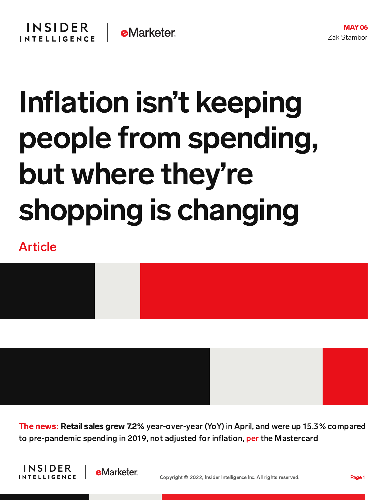## Inflation isn't keeping people from spending, but where they're shopping is changing

Article



**The news: Retail sales grew 7.2%** year-over-year (YoY) in April, and were up 15.3% compared to pre-pandemic spending in 2019, not adjusted for inflation, [per](https://investor.mastercard.com/investor-news/investor-news-details/2022/Mastercard-SpendingPulse-April-U.S.-Retail-Sales-Remain-Steady-Up-7.2-Year-Over-Year/default.aspx) the Mastercard



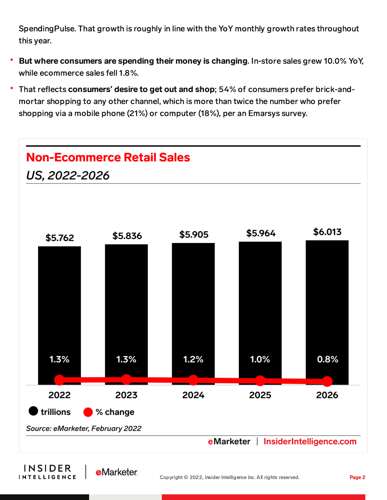SpendingPulse. That growth is roughly in line with the YoY monthly growth rates throughout this year.

- **But where consumers are spending their money is changing.** In-store sales grew 10.0% YoY, while ecommerce sales fell 1.8%.
- That reflects consumers**'** desire to get out and shop; 54% of consumers prefer brick-andmortar shopping to any other channel, which is more than twice the number who prefer shopping via a mobile phone (21%) or computer (18%), per an Emarsys survey.



**INTELLIGENCE**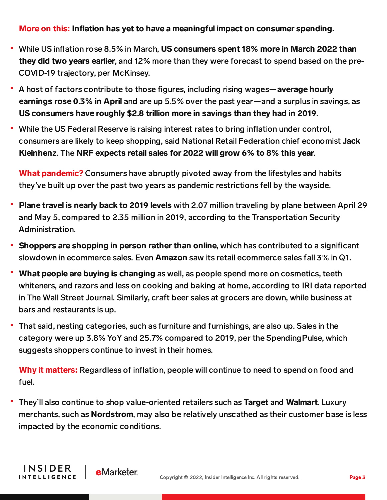## More on this: Inflation has yet to have a meaningful impact on consumer spending.

- While US inflation rose 8.5% in March, US consumers spent 18% more in March 2022 than they did two years earlier, and 12% more than they were forecast to spend based on the pre-COVID-19 trajectory, per McKinsey.
- A host of factors contribute to those figures, including rising wages—average hourly earnings rose 0.3% in April and are up 5.5% over the past year—and a surplus in savings, as US consumers have roughly \$2.8 trillion more in savings than they had in 2019.
- While the US Federal Reserve is raising interest rates to bring inflation under control, consumers are likely to keep shopping, said National Retail Federation chief economist Jack Kleinhenz. The NRF expects retail sales for 2022 will grow 6% to 8% this year.

What pandemic? Consumers have abruptly pivoted away from the lifestyles and habits they've built up over the past two years as pandemic restrictions fell by the wayside.

- Plane travel is nearly back to 2019 levels with 2.07 million traveling by plane between April 29 and May 5, compared to 2.35 million in 2019, according to the Transportation Security Administration.
- Shoppers are shopping in person rather than online, which has contributed to a significant slowdown in ecommerce sales. Even **Amazon** saw its retail ecommerce sales fall 3% in Q1.
- What people are buying is changing as well, as people spend more on cosmetics, teeth whiteners, and razors and less on cooking and baking at home, according to IRI data reported in The Wall Street Journal. Similarly, craft beer sales at grocers are down, while business at bars and restaurants is up.
- That said, nesting categories, such as furniture and furnishings, are also up. Sales in the category were up 3.8% YoY and 25.7% compared to 2019, per the SpendingPulse, which suggests shoppers continue to invest in their homes.

Why it matters: Regardless of inflation, people will continue to need to spend on food and fuel.

They'll also continue to shop value-oriented retailers such as Target and Walmart. Luxury merchants, such as Nordstrom, may also be relatively unscathed as their customer base is less impacted by the economic conditions.